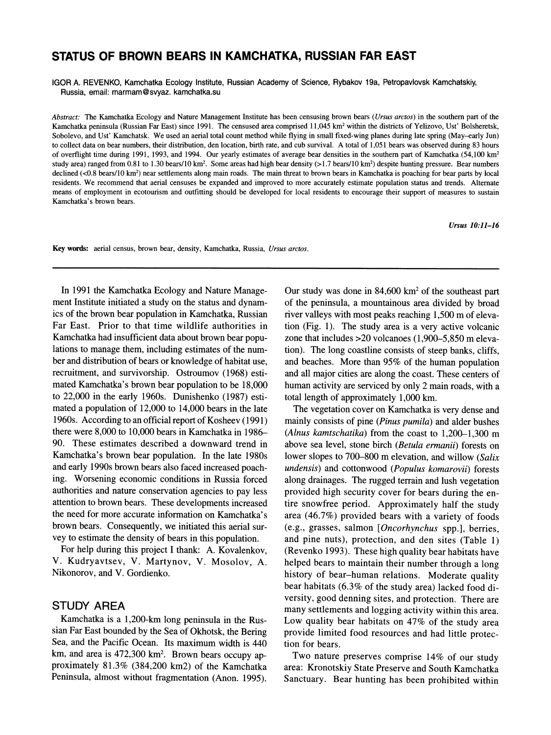# **STATUS OF BROWN BEARS IN KAMCHATKA, RUSSIAN FAR EAST**

**IGOR A. REVENKO, Kamchatka Ecology Institute, Russian Academy of Science, Rybakov 19a, Petropavlovsk Kamchatskiy, Russia, email: marmam@svyaz. kamchatka.su** 

**Abstract: The Kamchatka Ecology and Nature Management Institute has been censusing brown bears (Ursus arctos) in the southern part of the Kamchatka peninsula (Russian Far East) since 1991. The censused area comprised 11,045 km2 within the districts of Yelizovo, Ust' Bolsheretsk, Sobolevo, and Ust' Kamchatsk. We used an aerial total count method while flying in small fixed-wing planes during late spring (May-early Jun) to collect data on bear numbers, their distribution, den location, birth rate, and cub survival. A total of 1,051 bears was observed during 83 hours of overflight time during 1991, 1993, and 1994. Our yearly estimates of average bear densities in the southern part of Kamchatka (54,100 km2**  study area) ranged from 0.81 to 1.30 bears/10 km<sup>2</sup>. Some areas had high bear density (>1.7 bears/10 km<sup>2</sup>) despite hunting pressure. Bear numbers declined (<0.8 bears/10 km<sup>2</sup>) near settlements along main roads. The main threat to brown bears in Kamchatka is poaching for bear parts by local **residents. We recommend that aerial censuses be expanded and improved to more accurately estimate population status and trends. Alternate means of employment in ecotourism and outfitting should be developed for local residents to encourage their support of measures to sustain Kamchatka's brown bears.** 

**Ursus 10:11-16** 

**Key words: aerial census, brown bear, density, Kamchatka, Russia, Ursus arctos.** 

**In 1991 the Kamchatka Ecology and Nature Management Institute initiated a study on the status and dynamics of the brown bear population in Kamchatka, Russian Far East. Prior to that time wildlife authorities in Kamchatka had insufficient data about brown bear populations to manage them, including estimates of the number and distribution of bears or knowledge of habitat use, recruitment, and survivorship. Ostroumov (1968) estimated Kamchatka's brown bear population to be 18,000 to 22,000 in the early 1960s. Dunishenko (1987) estimated a population of 12,000 to 14,000 bears in the late 1960s. According to an official report of Kosheev (1991) there were 8,000 to 10,000 bears in Kamchatka in 1986- 90. These estimates described a downward trend in Kamchatka's brown bear population. In the late 1980s and early 1990s brown bears also faced increased poaching. Worsening economic conditions in Russia forced authorities and nature conservation agencies to pay less attention to brown bears. These developments increased the need for more accurate information on Kamchatka's brown bears. Consequently, we initiated this aerial survey to estimate the density of bears in this population.** 

**For help during this project I thank: A. Kovalenkov, V. Kudryavtsev, V. Martynov, V. Mosolov, A. Nikonorov, and V. Gordienko.** 

# **STUDY AREA**

**Kamchatka is a 1,200-km long peninsula in the Russian Far East bounded by the Sea of Okhotsk, the Bering Sea, and the Pacific Ocean. Its maximum width is 440 km, and area is 472,300 km2. Brown bears occupy approximately 81.3% (384,200 km2) of the Kamchatka Peninsula, almost without fragmentation (Anon. 1995).** 

**Our study was done in 84,600 km2 of the southeast part of the peninsula, a mountainous area divided by broad river valleys with most peaks reaching 1,500 m of elevation (Fig. 1). The study area is a very active volcanic zone that includes >20 volcanoes (1,900-5,850 m elevation). The long coastline consists of steep banks, cliffs, and beaches. More than 95% of the human population and all major cities are along the coast. These centers of human activity are serviced by only 2 main roads, with a total length of approximately 1,000 km.** 

**The vegetation cover on Kamchatka is very dense and mainly consists of pine (Pinus pumila) and alder bushes (Alnus kamtschatika) from the coast to 1,200-1,300 m above sea level, stone birch (Betula ermanii) forests on lower slopes to 700-800 m elevation, and willow (Salix undensis) and cottonwood (Populus komarovii) forests along drainages. The rugged terrain and lush vegetation provided high security cover for bears during the entire snowfree period. Approximately half the study area (46.7%) provided bears with a variety of foods (e.g., grasses, salmon [Oncorhynchus spp.], berries, and pine nuts), protection, and den sites (Table 1) (Revenko 1993). These high quality bear habitats have helped bears to maintain their number through a long history of bear-human relations. Moderate quality bear habitats (6.3% of the study area) lacked food diversity, good denning sites, and protection. There are many settlements and logging activity within this area. Low quality bear habitats on 47% of the study area provide limited food resources and had little protection for bears.** 

**Two nature preserves comprise 14% of our study area: Kronotskiy State Preserve and South Kamchatka Sanctuary. Bear hunting has been prohibited within**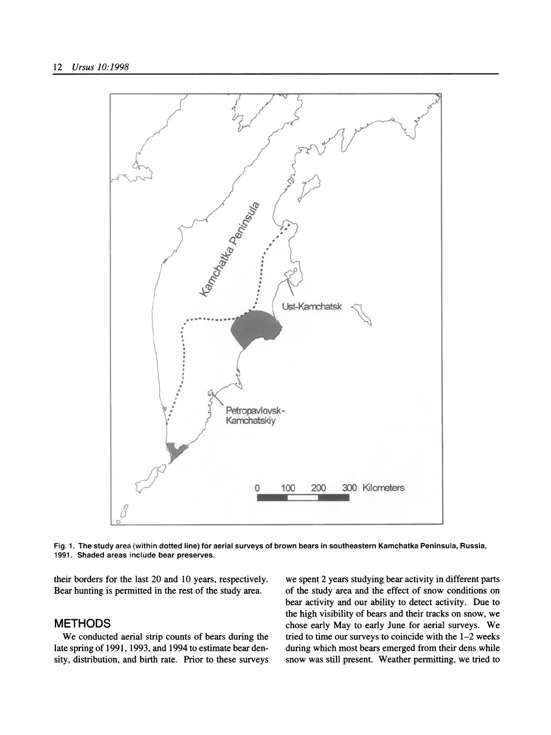

**Fig. 1. The study area (within dotted line) for aerial surveys of brown bears in southeastern Kamchatka Peninsula, Russia, 1991. Shaded areas include bear preserves.** 

**their borders for the last 20 and 10 years, respectively. Bear hunting is permitted in the rest of the study area.** 

# **METHODS**

**We conducted aerial strip counts of bears during the late spring of 1991, 1993, and 1994 to estimate bear density, distribution, and birth rate. Prior to these surveys**  **we spent 2 years studying bear activity in different parts of the study area and the effect of snow conditions on bear activity and our ability to detect activity. Due to the high visibility of bears and their tracks on snow, we chose early May to early June for aerial surveys. We tried to time our surveys to coincide with the 1-2 weeks during which most bears emerged from their dens while snow was still present. Weather permitting, we tried to**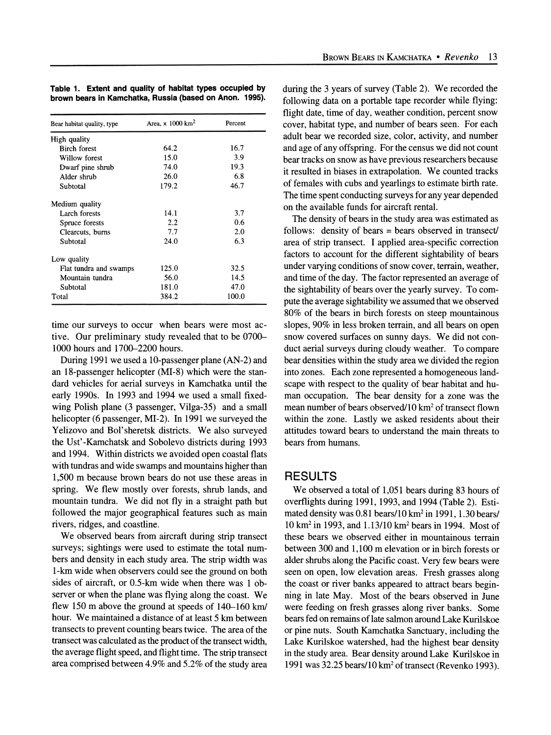|  |  | Table 1. Extent and quality of habitat types occupied by |  |  |
|--|--|----------------------------------------------------------|--|--|
|  |  | brown bears in Kamchatka, Russia (based on Anon. 1995).  |  |  |

| Bear habitat quality, type | Area, $\times 1000$ km <sup>2</sup> | Percent |  |
|----------------------------|-------------------------------------|---------|--|
| High quality               |                                     |         |  |
| <b>Birch forest</b>        | 64.2                                | 16.7    |  |
| Willow forest              | 15.0                                | 3.9     |  |
| Dwarf pine shrub           | 74.0                                | 19.3    |  |
| Alder shrub                | 26.0                                | 6.8     |  |
| Subtotal                   | 179.2                               | 46.7    |  |
| Medium quality             |                                     |         |  |
| Larch forests              | 14.1                                | 3.7     |  |
| Spruce forests             | 2.2                                 | 0.6     |  |
| Clearcuts, burns           | 7.7                                 | 2.0     |  |
| Subtotal                   | 24.0                                | 6.3     |  |
| Low quality                |                                     |         |  |
| Flat tundra and swamps     | 125.0                               | 32.5    |  |
| Mountain tundra            | 56.0                                | 14.5    |  |
| Subtotal                   | 181.0                               | 47.0    |  |
| Total                      | 384.2                               | 100.0   |  |

**time our surveys to occur when bears were most active. Our preliminary study revealed that to be 0700- 1000 hours and 1700-2200 hours.** 

**During 1991 we used a 10-passenger plane (AN-2) and an 18-passenger helicopter (MI-8) which were the standard vehicles for aerial surveys in Kamchatka until the early 1990s. In 1993 and 1994 we used a small fixedwing Polish plane (3 passenger, Vilga-35) and a small helicopter (6 passenger, MI-2). In 1991 we surveyed the Yelizovo and Bol'sheretsk districts. We also surveyed the Ust'-Kamchatsk and Sobolevo districts during 1993 and 1994. Within districts we avoided open coastal flats with tundras and wide swamps and mountains higher than 1,500 m because brown bears do not use these areas in spring. We flew mostly over forests, shrub lands, and mountain tundra. We did not fly in a straight path but followed the major geographical features such as main rivers, ridges, and coastline.** 

**We observed bears from aircraft during strip transect surveys; sightings were used to estimate the total numbers and density in each study area. The strip width was 1-km wide when observers could see the ground on both sides of aircraft, or 0.5-km wide when there was 1 observer or when the plane was flying along the coast. We flew 150 m above the ground at speeds of 140-160 km/ hour. We maintained a distance of at least 5 km between transects to prevent counting bears twice. The area of the transect was calculated as the product of the transect width, the average flight speed, and flight time. The strip transect area comprised between 4.9% and 5.2% of the study area**  **during the 3 years of survey (Table 2). We recorded the following data on a portable tape recorder while flying: flight date, time of day, weather condition, percent snow cover, habitat type, and number of bears seen. For each adult bear we recorded size, color, activity, and number and age of any offspring. For the census we did not count bear tracks on snow as have previous researchers because it resulted in biases in extrapolation. We counted tracks of females with cubs and yearlings to estimate birth rate. The time spent conducting surveys for any year depended on the available funds for aircraft rental.** 

**The density of bears in the study area was estimated as follows: density of bears = bears observed in transect/ area of strip transect. I applied area-specific correction factors to account for the different sightability of bears under varying conditions of snow cover, terrain, weather, and time of the day. The factor represented an average of the sightability of bears over the yearly survey. To compute the average sightability we assumed that we observed 80% of the bears in birch forests on steep mountainous slopes, 90% in less broken terrain, and all bears on open snow covered surfaces on sunny days. We did not conduct aerial surveys during cloudy weather. To compare bear densities within the study area we divided the region into zones. Each zone represented a homogeneous landscape with respect to the quality of bear habitat and human occupation. The bear density for a zone was the**  mean number of bears observed/10 km<sup>2</sup> of transect flown **within the zone. Lastly we asked residents about their attitudes toward bears to understand the main threats to bears from humans.** 

#### **RESULTS**

**We observed a total of 1,051 bears during 83 hours of overflights during 1991, 1993, and 1994 (Table 2). Estimated density was 0.81 bears/10 km2 in 1991, 1.30 bears/ 10 km2 in 1993, and 1.13/10 km2 bears in 1994. Most of these bears we observed either in mountainous terrain between 300 and 1,100 m elevation or in birch forests or alder shrubs along the Pacific coast. Very few bears were seen on open, low elevation areas. Fresh grasses along the coast or river banks appeared to attract bears beginning in late May. Most of the bears observed in June were feeding on fresh grasses along river banks. Some bears fed on remains of late salmon around Lake Kurilskoe or pine nuts. South Kamchatka Sanctuary, including the Lake Kurilskoe watershed, had the highest bear density in the study area. Bear density around Lake Kurilskoe in**  1991 was 32.25 bears/10 km<sup>2</sup> of transect (Revenko 1993).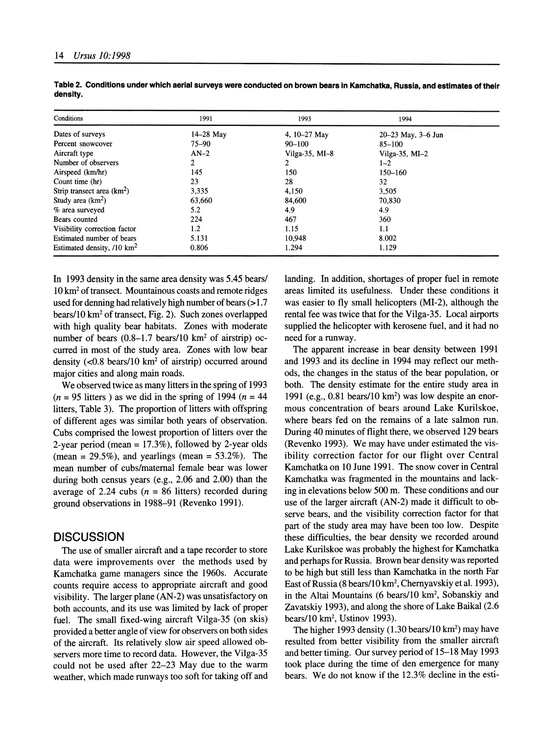| Conditions                            | 1991        | 1993             | 1994                       |  |
|---------------------------------------|-------------|------------------|----------------------------|--|
| Dates of surveys                      | $14-28$ May | 4, $10-27$ May   | $20 - 23$ May, $3 - 6$ Jun |  |
| Percent snowcover                     | $75 - 90$   | $90 - 100$       | $85 - 100$                 |  |
| Aircraft type                         | $AN-2$      | Vilga-35, $MI-8$ | Vilga-35, $MI-2$           |  |
| Number of observers                   | 2           |                  | $1 - 2$                    |  |
| Airspeed (km/hr)                      | 145         | 150              | 150-160                    |  |
| Count time (hr)                       | 23          | 28               | 32                         |  |
| Strip transect area $(km2)$           | 3.335       | 4,150            | 3.505                      |  |
| Study area $(km^2)$                   | 63,660      | 84,600           | 70,830                     |  |
| % area surveyed                       | 5.2         | 4.9              | 4.9                        |  |
| Bears counted                         | 224         | 467              | 360                        |  |
| Visibility correction factor          | 1.2         | 1.15             | 1.1                        |  |
| Estimated number of bears             | 5.131       | 10,948           | 8.002                      |  |
| Estimated density, $/10 \text{ km}^2$ | 0.806       | 1.294            | 1.129                      |  |

**Table 2. Conditions under which aerial surveys were conducted on brown bears in Kamchatka, Russia, and estimates of their density.** 

**In 1993 density in the same area density was 5.45 bears/ 10 km2 of transect. Mountainous coasts and remote ridges used for denning had relatively high number of bears (>1.7 bears/10 km2 of transect, Fig. 2). Such zones overlapped with high quality bear habitats. Zones with moderate**  number of bears (0.8–1.7 bears/10 km<sup>2</sup> of airstrip) oc**curred in most of the study area. Zones with low bear density (<0.8 bears/10 km2 of airstrip) occurred around major cities and along main roads.** 

**We observed twice as many litters in the spring of 1993**   $(n = 95$  litters) as we did in the spring of 1994  $(n = 44)$ **litters, Table 3). The proportion of litters with offspring of different ages was similar both years of observation. Cubs comprised the lowest proportion of litters over the 2-year period (mean = 17.3%), followed by 2-year olds (mean = 29.5%), and yearlings (mean = 53.2%). The mean number of cubs/maternal female bear was lower during both census years (e.g., 2.06 and 2.00) than the average of 2.24 cubs (n = 86 litters) recorded during ground observations in 1988-91 (Revenko 1991).** 

### **DISCUSSION**

**The use of smaller aircraft and a tape recorder to store data were improvements over the methods used by Kamchatka game managers since the 1960s. Accurate counts require access to appropriate aircraft and good visibility. The larger plane (AN-2) was unsatisfactory on both accounts, and its use was limited by lack of proper fuel. The small fixed-wing aircraft Vilga-35 (on skis) provided a better angle of view for observers on both sides of the aircraft. Its relatively slow air speed allowed observers more time to record data. However, the Vilga-35 could not be used after 22-23 May due to the warm weather, which made runways too soft for taking off and**  **landing. In addition, shortages of proper fuel in remote areas limited its usefulness. Under these conditions it was easier to fly small helicopters (MI-2), although the rental fee was twice that for the Vilga-35. Local airports supplied the helicopter with kerosene fuel, and it had no need for a runway.** 

**The apparent increase in bear density between 1991 and 1993 and its decline in 1994 may reflect our methods, the changes in the status of the bear population, or both. The density estimate for the entire study area in 1991 (e.g., 0.81 bears/10 km2) was low despite an enormous concentration of bears around Lake Kurilskoe, where bears fed on the remains of a late salmon run. During 40 minutes of flight there, we observed 129 bears (Revenko 1993). We may have under estimated the visibility correction factor for our flight over Central Kamchatka on 10 June 1991. The snow cover in Central Kamchatka was fragmented in the mountains and lacking in elevations below 500 m. These conditions and our use of the larger aircraft (AN-2) made it difficult to observe bears, and the visibility correction factor for that part of the study area may have been too low. Despite these difficulties, the bear density we recorded around Lake Kurilskoe was probably the highest for Kamchatka and perhaps for Russia. Brown bear density was reported to be high but still less than Kamchatka in the north Far East of Russia (8 bears/10 km2, Chernyavskiy et al. 1993), in the Altai Mountains (6 bears/10 km2, Sobanskiy and Zavatskiy 1993), and along the shore of Lake Baikal (2.6 bears/10 km2, Ustinov 1993).** 

**The higher 1993 density (1.30 bears/10 km2) may have resulted from better visibility from the smaller aircraft and better timing. Our survey period of 15-18 May 1993 took place during the time of den emergence for many bears. We do not know if the 12.3% decline in the esti-**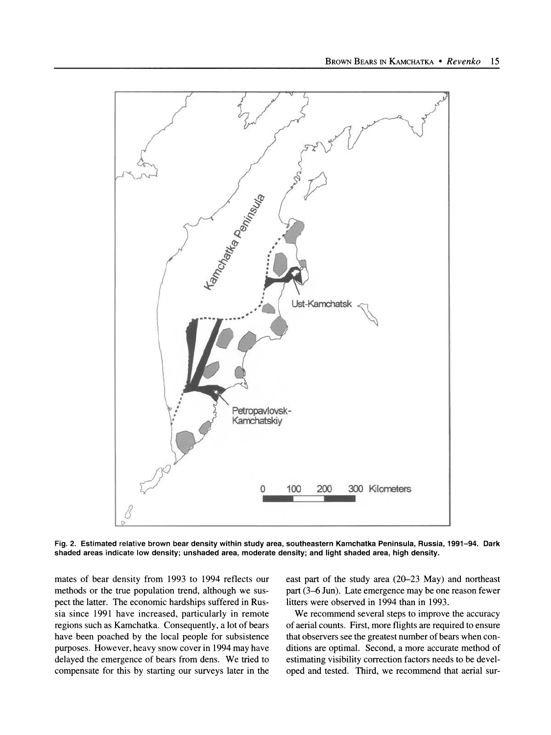

**Fig. 2. Estimated relative brown bear density within study area, southeastern Kamchatka Peninsula, Russia, 1991-94. Dark shaded areas indicate low density; unshaded area, moderate density; and light shaded area, high density.** 

**mates of bear density from 1993 to 1994 reflects our methods or the true population trend, although we suspect the latter. The economic hardships suffered in Russia since 1991 have increased, particularly in remote regions such as Kamchatka. Consequently, a lot of bears have been poached by the local people for subsistence purposes. However, heavy snow cover in 1994 may have delayed the emergence of bears from dens. We tried to compensate for this by starting our surveys later in the**  **east part of the study area (20-23 May) and northeast part (3-6 Jun). Late emergence may be one reason fewer litters were observed in 1994 than in 1993.** 

**We recommend several steps to improve the accuracy of aerial counts. First, more flights are required to ensure that observers see the greatest number of bears when conditions are optimal. Second, a more accurate method of estimating visibility correction factors needs to be developed and tested. Third, we recommend that aerial sur-**